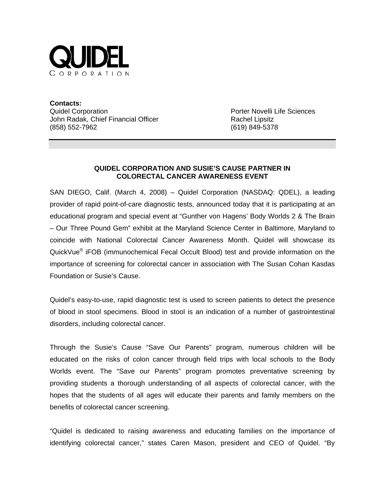

**Contacts:** Quidel Corporation **Porter Novelli Life Sciences** John Radak, Chief Financial Officer **Rachel Lipsitz** Rachel Lipsitz (858) 552-7962 (619) 849-5378

## **QUIDEL CORPORATION AND SUSIE'S CAUSE PARTNER IN COLORECTAL CANCER AWARENESS EVENT**

SAN DIEGO, Calif. (March 4, 2008) – Quidel Corporation (NASDAQ: QDEL), a leading provider of rapid point-of-care diagnostic tests, announced today that it is participating at an educational program and special event at "Gunther von Hagens' Body Worlds 2 & The Brain – Our Three Pound Gem" exhibit at the Maryland Science Center in Baltimore, Maryland to coincide with National Colorectal Cancer Awareness Month. Quidel will showcase its QuickVue® iFOB (immunochemical Fecal Occult Blood) test and provide information on the importance of screening for colorectal cancer in association with The Susan Cohan Kasdas Foundation or Susie's Cause.

Quidel's easy-to-use, rapid diagnostic test is used to screen patients to detect the presence of blood in stool specimens. Blood in stool is an indication of a number of gastrointestinal disorders, including colorectal cancer.

Through the Susie's Cause "Save Our Parents" program, numerous children will be educated on the risks of colon cancer through field trips with local schools to the Body Worlds event. The "Save our Parents" program promotes preventative screening by providing students a thorough understanding of all aspects of colorectal cancer, with the hopes that the students of all ages will educate their parents and family members on the benefits of colorectal cancer screening.

"Quidel is dedicated to raising awareness and educating families on the importance of identifying colorectal cancer," states Caren Mason, president and CEO of Quidel. "By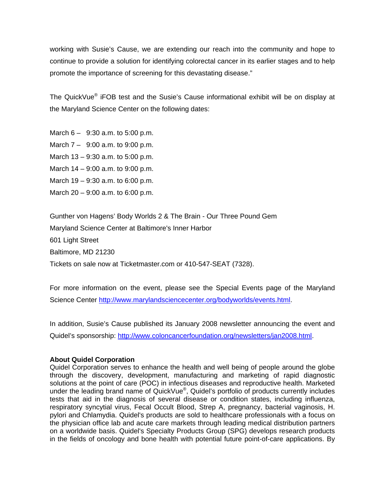working with Susie's Cause, we are extending our reach into the community and hope to continue to provide a solution for identifying colorectal cancer in its earlier stages and to help promote the importance of screening for this devastating disease."

The QuickVue® iFOB test and the Susie's Cause informational exhibit will be on display at the Maryland Science Center on the following dates:

March  $6 - 9:30$  a.m. to 5:00 p.m.

March 7 – 9:00 a.m. to 9:00 p.m.

March 13 – 9:30 a.m. to 5:00 p.m.

March 14 – 9:00 a.m. to 9:00 p.m.

March 19 – 9:30 a.m. to 6:00 p.m.

March 20 – 9:00 a.m. to 6:00 p.m.

Gunther von Hagens' Body Worlds 2 & The Brain - Our Three Pound Gem Maryland Science Center at Baltimore's Inner Harbor 601 Light Street Baltimore, MD 21230 Tickets on sale now at Ticketmaster.com or 410-547-SEAT (7328).

For more information on the event, please see the Special Events page of the Maryland Science Center [http://www.marylandsciencecenter.org/bodyworlds/events.html.](http://www.marylandsciencecenter.org/bodyworlds/events.html)

In addition, Susie's Cause published its January 2008 newsletter announcing the event and Quidel's sponsorship:<http://www.coloncancerfoundation.org/newsletters/jan2008.html>.

## **About Quidel Corporation**

Quidel Corporation serves to enhance the health and well being of people around the globe through the discovery, development, manufacturing and marketing of rapid diagnostic solutions at the point of care (POC) in infectious diseases and reproductive health. Marketed under the leading brand name of QuickVue®, Quidel's portfolio of products currently includes tests that aid in the diagnosis of several disease or condition states, including influenza, respiratory syncytial virus, Fecal Occult Blood, Strep A, pregnancy, bacterial vaginosis, H. pylori and Chlamydia. Quidel's products are sold to healthcare professionals with a focus on the physician office lab and acute care markets through leading medical distribution partners on a worldwide basis. Quidel's Specialty Products Group (SPG) develops research products in the fields of oncology and bone health with potential future point-of-care applications. By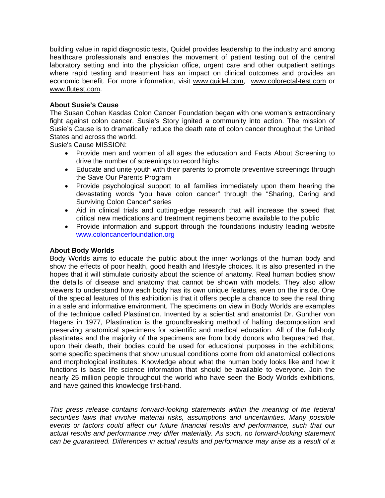building value in rapid diagnostic tests, Quidel provides leadership to the industry and among healthcare professionals and enables the movement of patient testing out of the central laboratory setting and into the physician office, urgent care and other outpatient settings where rapid testing and treatment has an impact on clinical outcomes and provides an economic benefit. For more information, visit [www.quidel.com](http://www.quidel.com/), [www.colorectal-test.com](http://www.colorectal-test.com/) or [www.flutest.com](http://www.flutest.com/).

## **About Susie's Cause**

The Susan Cohan Kasdas Colon Cancer Foundation began with one woman's extraordinary fight against colon cancer. Susie's Story ignited a community into action. The mission of Susie's Cause is to dramatically reduce the death rate of colon cancer throughout the United States and across the world.

Susie's Cause MISSION:

- Provide men and women of all ages the education and Facts About Screening to drive the number of screenings to record highs
- Educate and unite youth with their parents to promote preventive screenings through the Save Our Parents Program
- Provide psychological support to all families immediately upon them hearing the devastating words "you have colon cancer" through the "Sharing, Caring and Surviving Colon Cancer" series
- Aid in clinical trials and cutting-edge research that will increase the speed that critical new medications and treatment regimens become available to the public
- Provide information and support through the foundations industry leading website [www.coloncancerfoundation.org](http://www.coloncancerfoundation.org/)

## **About Body Worlds**

Body Worlds aims to educate the public about the inner workings of the human body and show the effects of poor health, good health and lifestyle choices. It is also presented in the hopes that it will stimulate curiosity about the science of anatomy. Real human bodies show the details of disease and anatomy that cannot be shown with models. They also allow viewers to understand how each body has its own unique features, even on the inside. One of the special features of this exhibition is that it offers people a chance to see the real thing in a safe and informative environment. The specimens on view in Body Worlds are examples of the technique called Plastination. Invented by a scientist and anatomist Dr. Gunther von Hagens in 1977, Plastination is the groundbreaking method of halting decomposition and preserving anatomical specimens for scientific and medical education. All of the full-body plastinates and the majority of the specimens are from body donors who bequeathed that, upon their death, their bodies could be used for educational purposes in the exhibitions; some specific specimens that show unusual conditions come from old anatomical collections and morphological institutes. Knowledge about what the human body looks like and how it functions is basic life science information that should be available to everyone. Join the nearly 25 million people throughout the world who have seen the Body Worlds exhibitions, and have gained this knowledge first-hand.

*This press release contains forward-looking statements within the meaning of the federal securities laws that involve material risks, assumptions and uncertainties. Many possible events or factors could affect our future financial results and performance, such that our actual results and performance may differ materially. As such, no forward-looking statement can be guaranteed. Differences in actual results and performance may arise as a result of a*